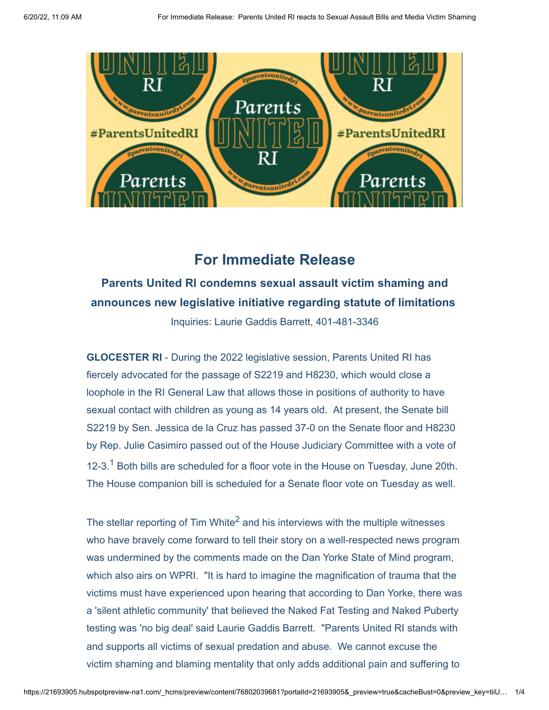

## **For Immediate Release**

## **Parents United RI condemns sexual assault victim shaming and announces new legislative initiative regarding statute of limitations**

Inquiries: Laurie Gaddis Barrett, 401-481-3346

**GLOCESTER RI** - During the 2022 legislative session, Parents United RI has fiercely advocated for the passage of S2219 and H8230, which would close a loophole in the RI General Law that allows those in positions of authority to have sexual contact with children as young as 14 years old. At present, the Senate bill S2219 by Sen. Jessica de la Cruz has passed 37-0 on the Senate floor and H8230 by Rep. Julie Casimiro passed out of the House Judiciary Committee with a vote of 12-3.<sup>1</sup> Both bills are scheduled for a floor vote in the House on Tuesday, June 20th. The House companion bill is scheduled for a Senate floor vote on Tuesday as well.

The stellar reporting of Tim White $^2$  and his interviews with the multiple witnesses who have bravely come forward to tell their story on a well-respected news program was undermined by the comments made on the Dan Yorke State of Mind program, which also airs on WPRI. "It is hard to imagine the magnification of trauma that the victims must have experienced upon hearing that according to Dan Yorke, there was a 'silent athletic community' that believed the Naked Fat Testing and Naked Puberty testing was 'no big deal' said Laurie Gaddis Barrett. "Parents United RI stands with and supports all victims of sexual predation and abuse. We cannot excuse the victim shaming and blaming mentality that only adds additional pain and suffering to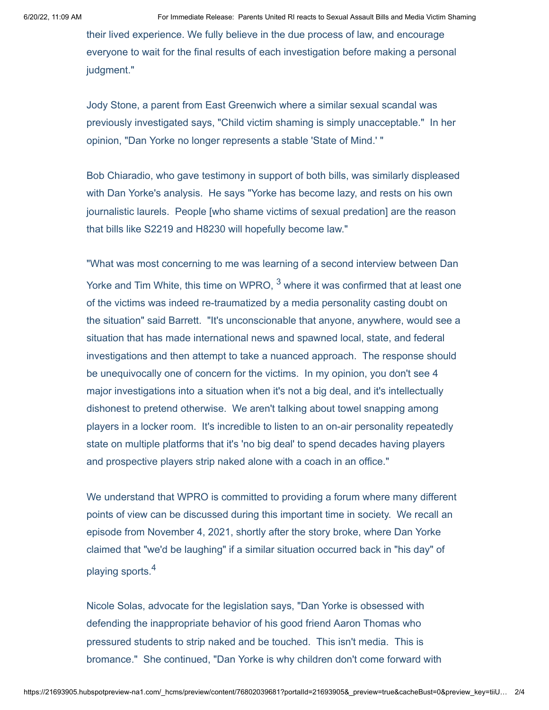their lived experience. We fully believe in the due process of law, and encourage everyone to wait for the final results of each investigation before making a personal judgment."

Jody Stone, a parent from East Greenwich where a similar sexual scandal was previously investigated says, "Child victim shaming is simply unacceptable." In her opinion, "Dan Yorke no longer represents a stable 'State of Mind.' "

Bob Chiaradio, who gave testimony in support of both bills, was similarly displeased with Dan Yorke's analysis. He says "Yorke has become lazy, and rests on his own journalistic laurels. People [who shame victims of sexual predation] are the reason that bills like S2219 and H8230 will hopefully become law."

"What was most concerning to me was learning of a second interview between Dan Yorke and Tim White, this time on WPRO,  $^3$  where it was confirmed that at least one of the victims was indeed re-traumatized by a media personality casting doubt on the situation" said Barrett. "It's unconscionable that anyone, anywhere, would see a situation that has made international news and spawned local, state, and federal investigations and then attempt to take a nuanced approach. The response should be unequivocally one of concern for the victims. In my opinion, you don't see 4 major investigations into a situation when it's not a big deal, and it's intellectually dishonest to pretend otherwise. We aren't talking about towel snapping among players in a locker room. It's incredible to listen to an on-air personality repeatedly state on multiple platforms that it's 'no big deal' to spend decades having players and prospective players strip naked alone with a coach in an office."

We understand that WPRO is committed to providing a forum where many different points of view can be discussed during this important time in society. We recall an episode from November 4, 2021, shortly after the story broke, where Dan Yorke claimed that "we'd be laughing" if a similar situation occurred back in "his day" of playing sports.<sup>4</sup>

Nicole Solas, advocate for the legislation says, "Dan Yorke is obsessed with defending the inappropriate behavior of his good friend Aaron Thomas who pressured students to strip naked and be touched. This isn't media. This is bromance." She continued, "Dan Yorke is why children don't come forward with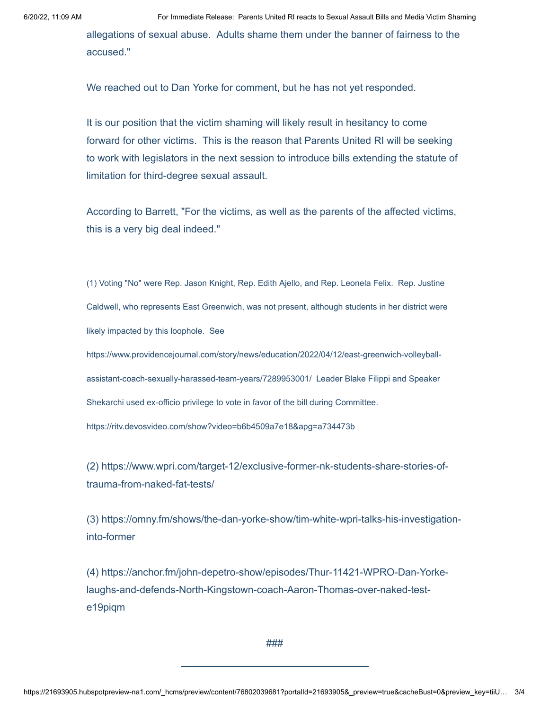allegations of sexual abuse. Adults shame them under the banner of fairness to the accused."

We reached out to Dan Yorke for comment, but he has not yet responded.

It is our position that the victim shaming will likely result in hesitancy to come forward for other victims. This is the reason that Parents United RI will be seeking to work with legislators in the next session to introduce bills extending the statute of limitation for third-degree sexual assault.

According to Barrett, "For the victims, as well as the parents of the affected victims, this is a very big deal indeed."

(1) Voting "No" were Rep. Jason Knight, Rep. Edith Ajello, and Rep. Leonela Felix. Rep. Justine Caldwell, who represents East Greenwich, was not present, although students in her district were likely impacted by this loophole. See

https://www.providencejournal.com/story/news/education/2022/04/12/east-greenwich-volleyballassistant-coach-sexually-harassed-team-years/7289953001/ Leader Blake Filippi and Speaker Shekarchi used ex-officio privilege to vote in favor of the bill during Committee.

https://ritv.devosvideo.com/show?video=b6b4509a7e18&apg=a734473b

(2) https://www.wpri.com/target-12/exclusive-former-nk-students-share-stories-oftrauma-from-naked-fat-tests/

(3) https://omny.fm/shows/the-dan-yorke-show/tim-white-wpri-talks-his-investigationinto-former

(4) https://anchor.fm/john-depetro-show/episodes/Thur-11421-WPRO-Dan-Yorkelaughs-and-defends-North-Kingstown-coach-Aaron-Thomas-over-naked-teste19piqm

###